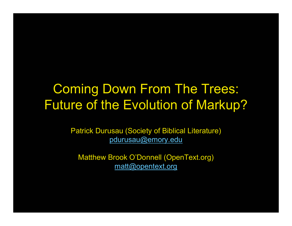#### Coming Down From The Trees: Future of the Evolution of Markup?

Patrick Durusau (Society of Biblical Literature) pdurusau@emory.edu

Matthew Brook O'Donnell (OpenText.org) matt@opentext.org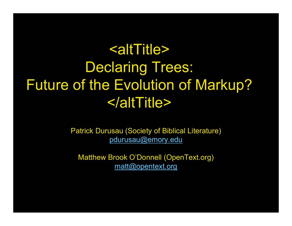# <altTitle>Declaring Trees: Future of the Evolution of Markup? </altTitle>

Patrick Durusau (Society of Biblical Literature) pdurusau@emory.edu

Matthew Brook O'Donnell (OpenText.org) matt@opentext.org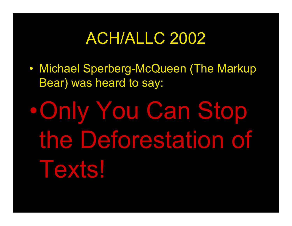## ACH/ALLC 2002

 $\bullet$  Michael Sperberg-McQueen (The Markup Bear) was heard to say:

•Only You Can Stop the Deforestation of Texts!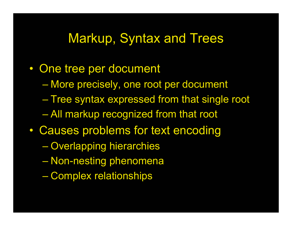#### Markup, Syntax and Trees

- $\bullet$  One tree per document
	- More precisely, one root per document
	- Tree syntax expressed from that single root All markup recognized from that root
- $\bullet$  Causes problems for text encoding
	- Overlapping hierarchies
	- Non-nesting phenomena
	- Complex relationships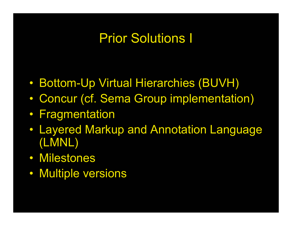## Prior Solutions I

- $\bullet$ Bottom-Up Virtual Hierarchies (BUVH)
- $\bullet$ Concur (cf. Sema Group implementation)
- Fragmentation
- Layered Markup and Annotation Language (LMNL)
- Milestones
- Multiple versions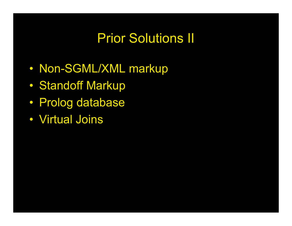## Prior Solutions II

- $\bullet$ Non-SGML/XML markup
- $\bullet$ Standoff Markup
- Prolog database
- Virtual Joins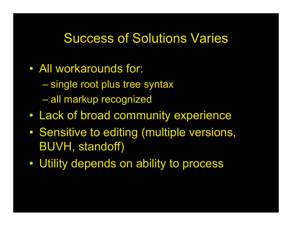#### Success of Solutions Varies

- All workarounds for:
	- single root plus tree syntax
	- all markup recognized
- $\bullet$ Lack of broad community experience
- $\bullet$  Sensitive to editing (multiple versions, BUVH, standoff)
- Utility depends on ability to process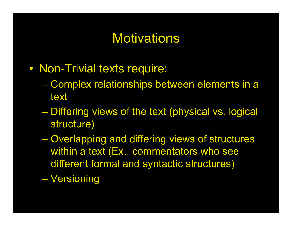## Motivations

- Non-Trivial texts require:
	- Complex relationships between elements in a text
	- Differing views of the text (physical vs. logical structure)
	- Overlapping and differing views of structures within a text (Ex., commentators who see different formal and syntactic structures)

Versioning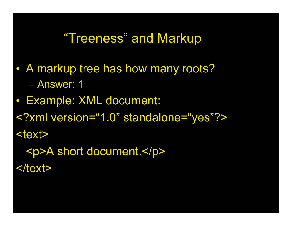#### "Treeness" and Markup

- $\bullet$  A markup tree has how many roots? – Answer: 1
- Example: XML document:
- <?xml version="1.0" standalone="yes"?>

<text>

<p>A short document.</p>

 $<$ /text $>$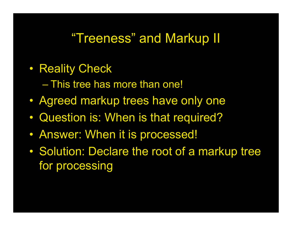#### "Treeness" and Markup II

- $\bullet$  Reality Check
	- This tree has more than one!
- Agreed markup trees have only one
- $\bullet$ Question is: When is that required?
- Answer: When it is processed!
- $\bullet$  Solution: Declare the root of a markup tree for processing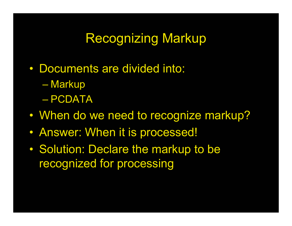## Recognizing Markup

- Documents are divided into:
	- **Markup**
	- PCDATA
- $\bullet$ When do we need to recognize markup?
- Answer: When it is processed!
- $\bullet$  Solution: Declare the markup to be recognized for processing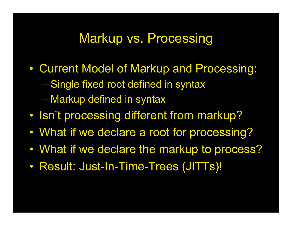#### Markup vs. Processing

- $\bullet$  Current Model of Markup and Processing: Single fixed root defined in syntax Markup defined in syntax
- $\bullet$ Isn't processing different from markup?
- $\bullet$ What if we declare a root for processing?
- $\bullet$ What if we declare the markup to process?
- $\bullet$ Result: Just-In-Time-Trees (JITTs)!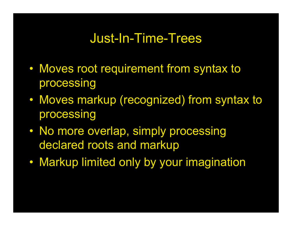#### Just-In-Time-Trees

- $\bullet$  Moves root requirement from syntax to processing
- $\bullet$  Moves markup (recognized) from syntax to processing
- No more overlap, simply processing declared roots and markup
- Markup limited only by your imagination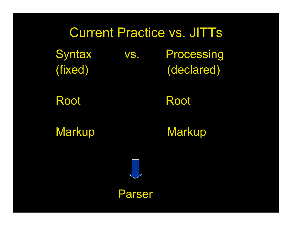# Current Practice vs. JITTs Syntax vs. Processing (fixed) (declared)

Root Root

Markup Markup



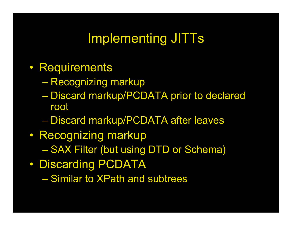## Implementing JITTs

- Requirements
	- Recognizing markup
	- Discard markup/PCDATA prior to declared root
	- Discard markup/PCDATA after leaves
- Recognizing markup SAX Filter (but using DTD or Schema)
- $\bullet$  Discarding PCDATA
	- Similar to XPath and subtrees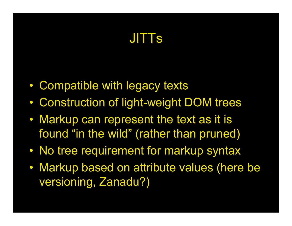## JITTs

- $\bullet$ Compatible with legacy texts
- $\bullet$ Construction of light-weight DOM trees
- Markup can represent the text as it is found "in the wild" (rather than pruned)
- $\bullet$ No tree requirement for markup syntax
- $\bullet$  Markup based on attribute values (here be versioning, Zanadu?)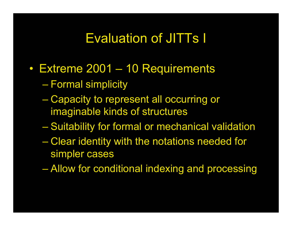## Evaluation of JITTs I

- Extreme 2001 10 Requirements
	- Formal simplicity
	- Capacity to represent all occurring or imaginable kinds of structures
	- Suitability for formal or mechanical validation
	- Clear identity with the notations needed for simpler cases
	- Allow for conditional indexing and processing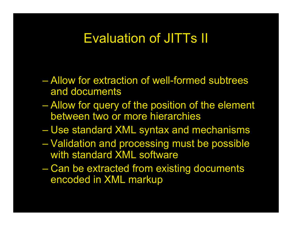#### Evaluation of JITTs II

- Allow for extraction of well-formed subtrees and documents
- Allow for query of the position of the element between two or more hierarchies
- Use standard XML syntax and mechanisms
- Validation and processing must be possible with standard XML software
- Can be extracted from existing documents encoded in XML markup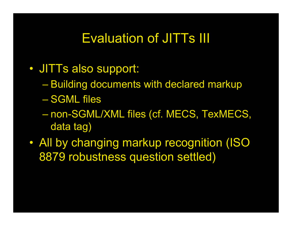## Evaluation of JITTs III

- JITTs also support:
	- Building documents with declared markup
	- SGML files
	- non-SGML/XML files (cf. MECS, TexMECS, data tag)
- $\bullet$  All by changing markup recognition (ISO 8879 robustness question settled)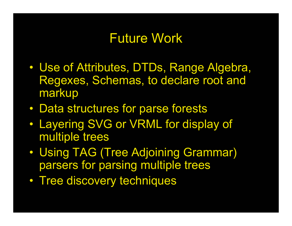#### Future Work

- $\bullet$  Use of Attributes, DTDs, Range Algebra, Regexes, Schemas, to declare root and markup
- $\bullet$ Data structures for parse forests
- $\bullet$  Layering SVG or VRML for display of multiple trees
- $\bullet$  Using TAG (Tree Adjoining Grammar) parsers for parsing multiple trees
- Tree discovery techniques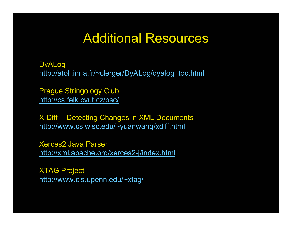#### Additional Resources

DyALog http://atoll.inria.fr/~clerger/DyALog/dyalog\_toc.html

Prague Stringology Club http://cs.felk.cvut.cz/psc/

X-Diff -- Detecting Changes in XML Documents http://www.cs.wisc.edu/~yuanwang/xdiff.html

Xerces2 Java Parserhttp://xml.apache.org/xerces2-j/index.html

XTAG Project http://www.cis.upenn.edu/~xtag/